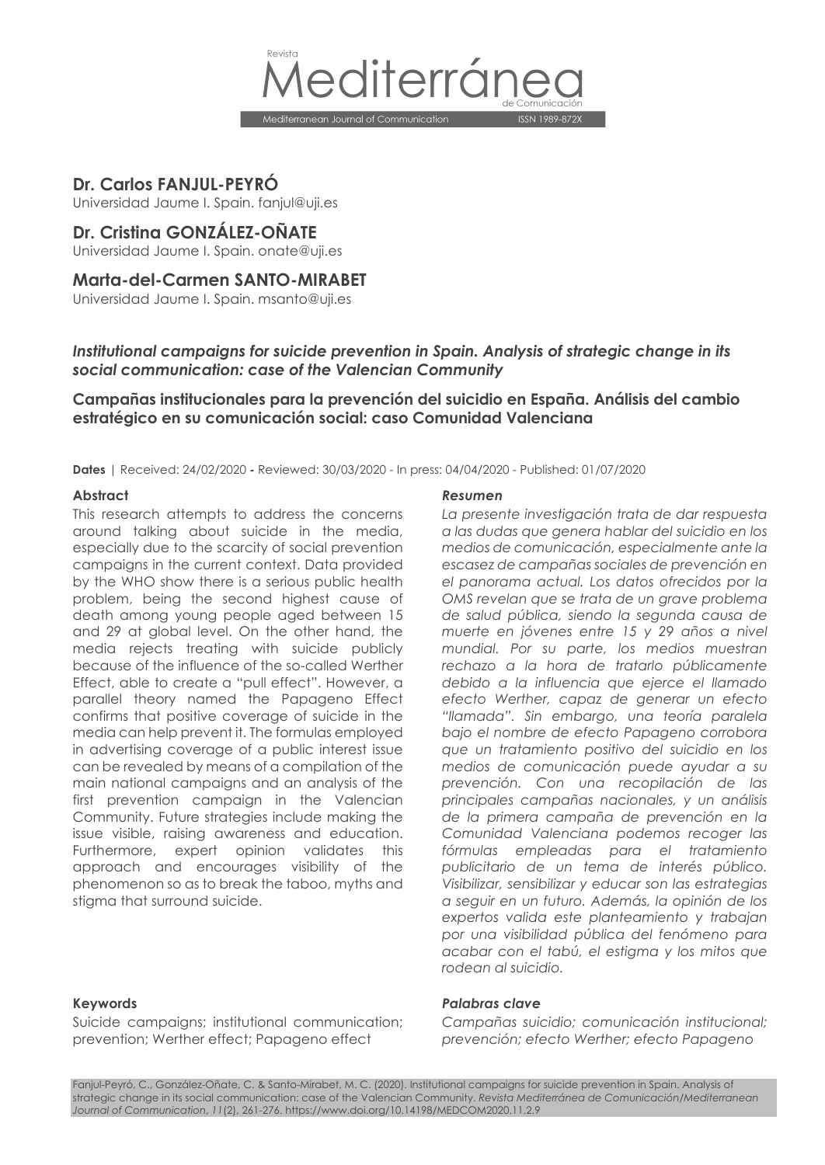

**Dr. Carlos FANJUL-PEYRÓ**

Universidad Jaume I. Spain. fanjul@uji.es

# **Dr. Cristina GONZÁLEZ-OÑATE**

Universidad Jaume I. Spain. onate@uji.es

# **Marta-del-Carmen SANTO-MIRABET**

Universidad Jaume I. Spain. msanto@uji.es

# *Institutional campaigns for suicide prevention in Spain. Analysis of strategic change in its social communication: case of the Valencian Community*

# **Campañas institucionales para la prevención del suicidio en España. Análisis del cambio estratégico en su comunicación social: caso Comunidad Valenciana**

**Dates** | Received: 24/02/2020 **-** Reviewed: 30/03/2020 - In press: 04/04/2020 - Published: 01/07/2020

This research attempts to address the concerns around talking about suicide in the media, especially due to the scarcity of social prevention campaigns in the current context. Data provided by the WHO show there is a serious public health problem, being the second highest cause of death among young people aged between 15 and 29 at global level. On the other hand, the media rejects treating with suicide publicly because of the influence of the so-called Werther Effect, able to create a "pull effect". However, a parallel theory named the Papageno Effect confirms that positive coverage of suicide in the media can help prevent it. The formulas employed in advertising coverage of a public interest issue can be revealed by means of a compilation of the main national campaigns and an analysis of the first prevention campaign in the Valencian Community. Future strategies include making the issue visible, raising awareness and education. Furthermore, expert opinion validates this approach and encourages visibility of the phenomenon so as to break the taboo, myths and stigma that surround suicide.

#### **Abstract** *Resumen*

*La presente investigación trata de dar respuesta a las dudas que genera hablar del suicidio en los medios de comunicación, especialmente ante la escasez de campañas sociales de prevención en el panorama actual. Los datos ofrecidos por la OMS revelan que se trata de un grave problema de salud pública, siendo la segunda causa de muerte en jóvenes entre 15 y 29 años a nivel mundial. Por su parte, los medios muestran rechazo a la hora de tratarlo públicamente debido a la influencia que ejerce el llamado efecto Werther, capaz de generar un efecto "llamada". Sin embargo, una teoría paralela bajo el nombre de efecto Papageno corrobora que un tratamiento positivo del suicidio en los medios de comunicación puede ayudar a su prevención. Con una recopilación de las principales campañas nacionales, y un análisis de la primera campaña de prevención en la Comunidad Valenciana podemos recoger las fórmulas empleadas para el tratamiento publicitario de un tema de interés público. Visibilizar, sensibilizar y educar son las estrategias a seguir en un futuro. Además, la opinión de los expertos valida este planteamiento y trabajan por una visibilidad pública del fenómeno para acabar con el tabú, el estigma y los mitos que rodean al suicidio.*

Suicide campaigns; institutional communication; prevention; Werther effect; Papageno effect

#### **Keywords** *Palabras clave*

*Campañas suicidio; comunicación institucional; prevención; efecto Werther; efecto Papageno*

Fanjul-Peyró, C., González-Oñate, C. & Santo-Mirabet, M. C. (2020). Institutional campaigns for suicide prevention in Spain. Analysis of strategic change in its social communication: case of the Valencian Community. *Revista Mediterránea de Comunicación/Mediterranean Journal of Communication*, *11*(2), 261-276. https://www.doi.org/10.14198/MEDCOM2020.11.2.9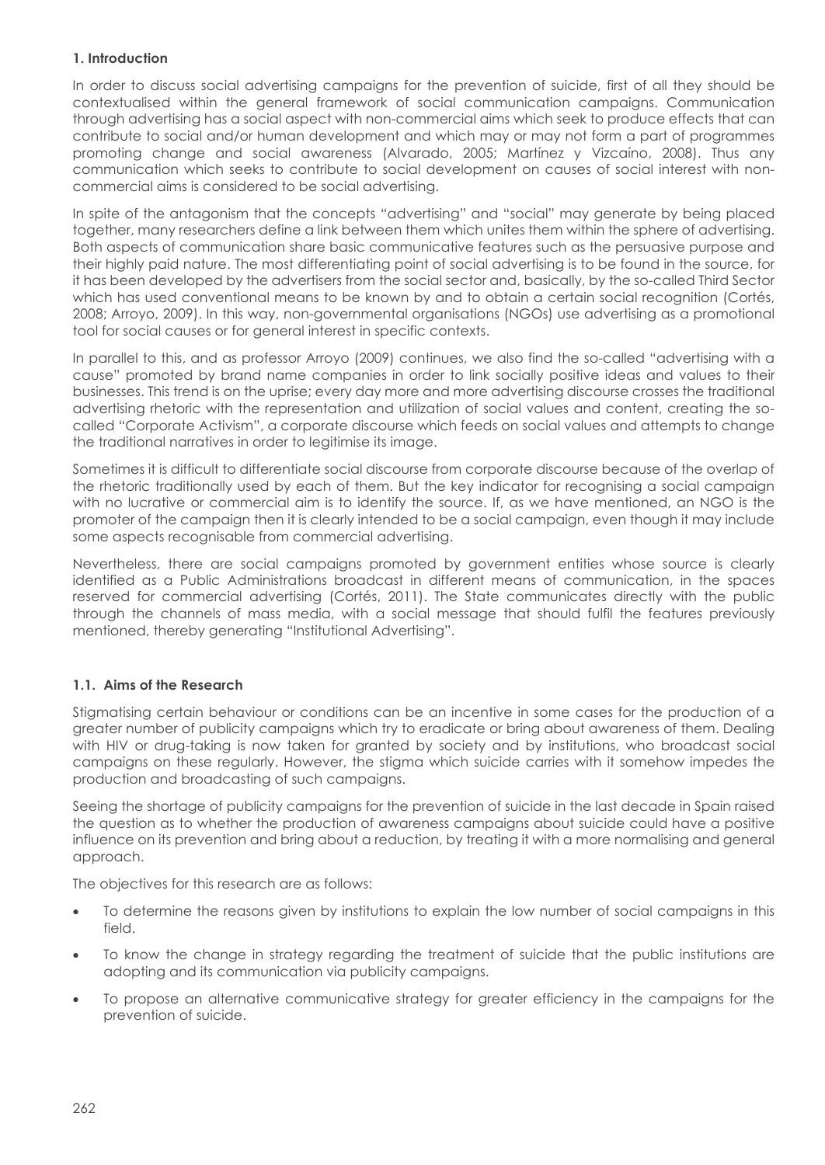# **1. Introduction**

In order to discuss social advertising campaigns for the prevention of suicide, first of all they should be contextualised within the general framework of social communication campaigns. Communication through advertising has a social aspect with non-commercial aims which seek to produce effects that can contribute to social and/or human development and which may or may not form a part of programmes promoting change and social awareness (Alvarado, 2005; Martínez y Vizcaíno, 2008). Thus any communication which seeks to contribute to social development on causes of social interest with noncommercial aims is considered to be social advertising.

In spite of the antagonism that the concepts "advertising" and "social" may generate by being placed together, many researchers define a link between them which unites them within the sphere of advertising. Both aspects of communication share basic communicative features such as the persuasive purpose and their highly paid nature. The most differentiating point of social advertising is to be found in the source, for it has been developed by the advertisers from the social sector and, basically, by the so-called Third Sector which has used conventional means to be known by and to obtain a certain social recognition (Cortés, 2008; Arroyo, 2009). In this way, non-governmental organisations (NGOs) use advertising as a promotional tool for social causes or for general interest in specific contexts.

In parallel to this, and as professor Arroyo (2009) continues, we also find the so-called "advertising with a cause" promoted by brand name companies in order to link socially positive ideas and values to their businesses. This trend is on the uprise; every day more and more advertising discourse crosses the traditional advertising rhetoric with the representation and utilization of social values and content, creating the socalled "Corporate Activism", a corporate discourse which feeds on social values and attempts to change the traditional narratives in order to legitimise its image.

Sometimes it is difficult to differentiate social discourse from corporate discourse because of the overlap of the rhetoric traditionally used by each of them. But the key indicator for recognising a social campaign with no lucrative or commercial aim is to identify the source. If, as we have mentioned, an NGO is the promoter of the campaign then it is clearly intended to be a social campaign, even though it may include some aspects recognisable from commercial advertising.

Nevertheless, there are social campaigns promoted by government entities whose source is clearly identified as a Public Administrations broadcast in different means of communication, in the spaces reserved for commercial advertising (Cortés, 2011). The State communicates directly with the public through the channels of mass media, with a social message that should fulfil the features previously mentioned, thereby generating "Institutional Advertising".

# **1.1. Aims of the Research**

Stigmatising certain behaviour or conditions can be an incentive in some cases for the production of a greater number of publicity campaigns which try to eradicate or bring about awareness of them. Dealing with HIV or drug-taking is now taken for granted by society and by institutions, who broadcast social campaigns on these regularly. However, the stigma which suicide carries with it somehow impedes the production and broadcasting of such campaigns.

Seeing the shortage of publicity campaigns for the prevention of suicide in the last decade in Spain raised the question as to whether the production of awareness campaigns about suicide could have a positive influence on its prevention and bring about a reduction, by treating it with a more normalising and general approach.

The objectives for this research are as follows:

- To determine the reasons given by institutions to explain the low number of social campaigns in this field.
- To know the change in strategy regarding the treatment of suicide that the public institutions are adopting and its communication via publicity campaigns.
- To propose an alternative communicative strategy for greater efficiency in the campaigns for the prevention of suicide.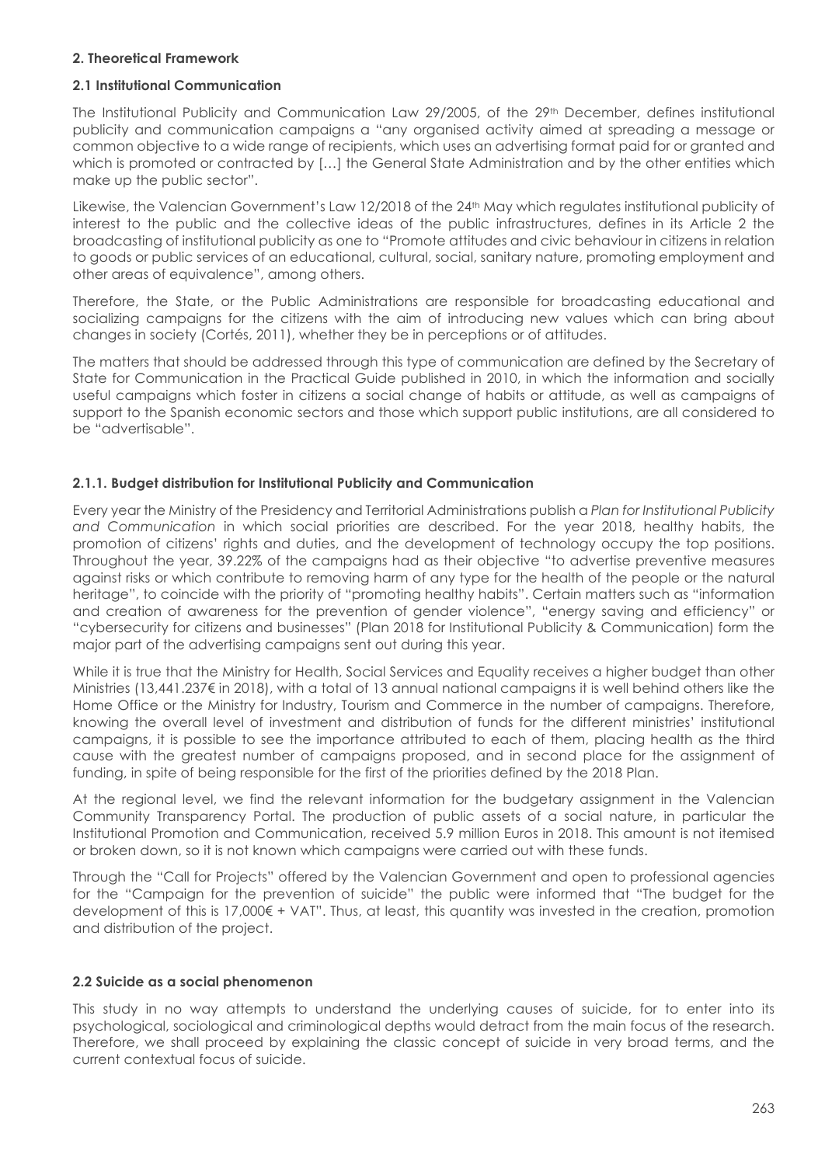#### **2. Theoretical Framework**

# **2.1 Institutional Communication**

The Institutional Publicity and Communication Law 29/2005, of the 29th December, defines institutional publicity and communication campaigns a "any organised activity aimed at spreading a message or common objective to a wide range of recipients, which uses an advertising format paid for or granted and which is promoted or contracted by […] the General State Administration and by the other entities which make up the public sector".

Likewise, the Valencian Government's Law 12/2018 of the 24<sup>th</sup> May which regulates institutional publicity of interest to the public and the collective ideas of the public infrastructures, defines in its Article 2 the broadcasting of institutional publicity as one to "Promote attitudes and civic behaviour in citizens in relation to goods or public services of an educational, cultural, social, sanitary nature, promoting employment and other areas of equivalence", among others.

Therefore, the State, or the Public Administrations are responsible for broadcasting educational and socializing campaigns for the citizens with the aim of introducing new values which can bring about changes in society (Cortés, 2011), whether they be in perceptions or of attitudes.

The matters that should be addressed through this type of communication are defined by the Secretary of State for Communication in the Practical Guide published in 2010, in which the information and socially useful campaigns which foster in citizens a social change of habits or attitude, as well as campaigns of support to the Spanish economic sectors and those which support public institutions, are all considered to be "advertisable".

# **2.1.1. Budget distribution for Institutional Publicity and Communication**

Every year the Ministry of the Presidency and Territorial Administrations publish a *Plan for Institutional Publicity and Communication* in which social priorities are described. For the year 2018, healthy habits, the promotion of citizens' rights and duties, and the development of technology occupy the top positions. Throughout the year, 39.22% of the campaigns had as their objective "to advertise preventive measures against risks or which contribute to removing harm of any type for the health of the people or the natural heritage", to coincide with the priority of "promoting healthy habits". Certain matters such as "information and creation of awareness for the prevention of gender violence", "energy saving and efficiency" or "cybersecurity for citizens and businesses" (Plan 2018 for Institutional Publicity & Communication) form the major part of the advertising campaigns sent out during this year.

While it is true that the Ministry for Health, Social Services and Equality receives a higher budget than other Ministries (13,441.237€ in 2018), with a total of 13 annual national campaigns it is well behind others like the Home Office or the Ministry for Industry, Tourism and Commerce in the number of campaigns. Therefore, knowing the overall level of investment and distribution of funds for the different ministries' institutional campaigns, it is possible to see the importance attributed to each of them, placing health as the third cause with the greatest number of campaigns proposed, and in second place for the assignment of funding, in spite of being responsible for the first of the priorities defined by the 2018 Plan.

At the regional level, we find the relevant information for the budgetary assignment in the Valencian Community Transparency Portal. The production of public assets of a social nature, in particular the Institutional Promotion and Communication, received 5.9 million Euros in 2018. This amount is not itemised or broken down, so it is not known which campaigns were carried out with these funds.

Through the "Call for Projects" offered by the Valencian Government and open to professional agencies for the "Campaign for the prevention of suicide" the public were informed that "The budget for the development of this is 17,000€ + VAT". Thus, at least, this quantity was invested in the creation, promotion and distribution of the project.

#### **2.2 Suicide as a social phenomenon**

This study in no way attempts to understand the underlying causes of suicide, for to enter into its psychological, sociological and criminological depths would detract from the main focus of the research. Therefore, we shall proceed by explaining the classic concept of suicide in very broad terms, and the current contextual focus of suicide.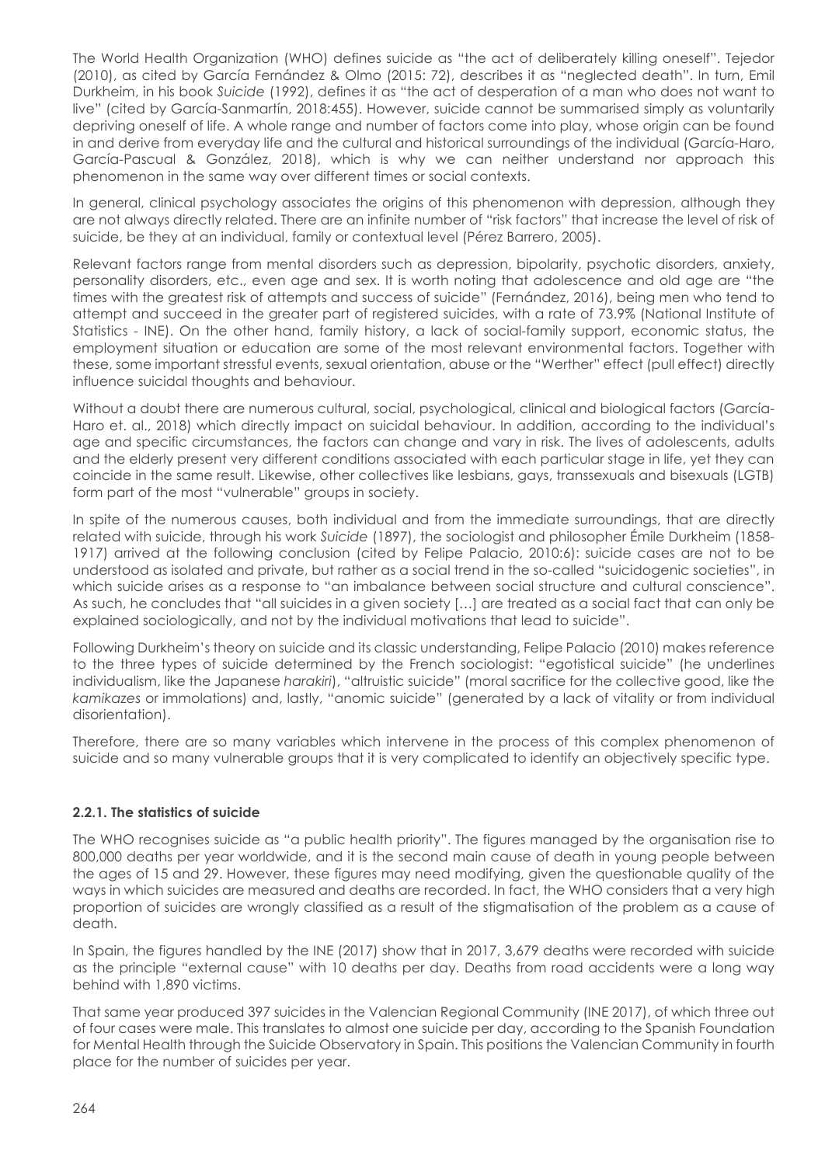The World Health Organization (WHO) defines suicide as "the act of deliberately killing oneself". Tejedor (2010), as cited by García Fernández & Olmo (2015: 72), describes it as "neglected death". In turn, Emil Durkheim, in his book *Suicide* (1992), defines it as "the act of desperation of a man who does not want to live" (cited by García-Sanmartín, 2018:455). However, suicide cannot be summarised simply as voluntarily depriving oneself of life. A whole range and number of factors come into play, whose origin can be found in and derive from everyday life and the cultural and historical surroundings of the individual (García-Haro, García-Pascual & González, 2018), which is why we can neither understand nor approach this phenomenon in the same way over different times or social contexts.

In general, clinical psychology associates the origins of this phenomenon with depression, although they are not always directly related. There are an infinite number of "risk factors" that increase the level of risk of suicide, be they at an individual, family or contextual level (Pérez Barrero, 2005).

Relevant factors range from mental disorders such as depression, bipolarity, psychotic disorders, anxiety, personality disorders, etc., even age and sex. It is worth noting that adolescence and old age are "the times with the greatest risk of attempts and success of suicide" (Fernández, 2016), being men who tend to attempt and succeed in the greater part of registered suicides, with a rate of 73.9% (National Institute of Statistics - INE). On the other hand, family history, a lack of social-family support, economic status, the employment situation or education are some of the most relevant environmental factors. Together with these, some important stressful events, sexual orientation, abuse or the "Werther" effect (pull effect) directly influence suicidal thoughts and behaviour.

Without a doubt there are numerous cultural, social, psychological, clinical and biological factors (García-Haro et. al., 2018) which directly impact on suicidal behaviour. In addition, according to the individual's age and specific circumstances, the factors can change and vary in risk. The lives of adolescents, adults and the elderly present very different conditions associated with each particular stage in life, yet they can coincide in the same result. Likewise, other collectives like lesbians, gays, transsexuals and bisexuals (LGTB) form part of the most "vulnerable" groups in society.

In spite of the numerous causes, both individual and from the immediate surroundings, that are directly related with suicide, through his work *Suicide* (1897), the sociologist and philosopher Émile Durkheim (1858- 1917) arrived at the following conclusion (cited by Felipe Palacio, 2010:6): suicide cases are not to be understood as isolated and private, but rather as a social trend in the so-called "suicidogenic societies", in which suicide arises as a response to "an imbalance between social structure and cultural conscience". As such, he concludes that "all suicides in a given society […] are treated as a social fact that can only be explained sociologically, and not by the individual motivations that lead to suicide".

Following Durkheim's theory on suicide and its classic understanding, Felipe Palacio (2010) makes reference to the three types of suicide determined by the French sociologist: "egotistical suicide" (he underlines individualism, like the Japanese *harakiri*), "altruistic suicide" (moral sacrifice for the collective good, like the *kamikazes* or immolations) and, lastly, "anomic suicide" (generated by a lack of vitality or from individual disorientation).

Therefore, there are so many variables which intervene in the process of this complex phenomenon of suicide and so many vulnerable groups that it is very complicated to identify an objectively specific type.

# **2.2.1. The statistics of suicide**

The WHO recognises suicide as "a public health priority". The figures managed by the organisation rise to 800,000 deaths per year worldwide, and it is the second main cause of death in young people between the ages of 15 and 29. However, these figures may need modifying, given the questionable quality of the ways in which suicides are measured and deaths are recorded. In fact, the WHO considers that a very high proportion of suicides are wrongly classified as a result of the stigmatisation of the problem as a cause of death.

In Spain, the figures handled by the INE (2017) show that in 2017, 3,679 deaths were recorded with suicide as the principle "external cause" with 10 deaths per day. Deaths from road accidents were a long way behind with 1,890 victims.

That same year produced 397 suicides in the Valencian Regional Community (INE 2017), of which three out of four cases were male. This translates to almost one suicide per day, according to the Spanish Foundation for Mental Health through the Suicide Observatory in Spain. This positions the Valencian Community in fourth place for the number of suicides per year.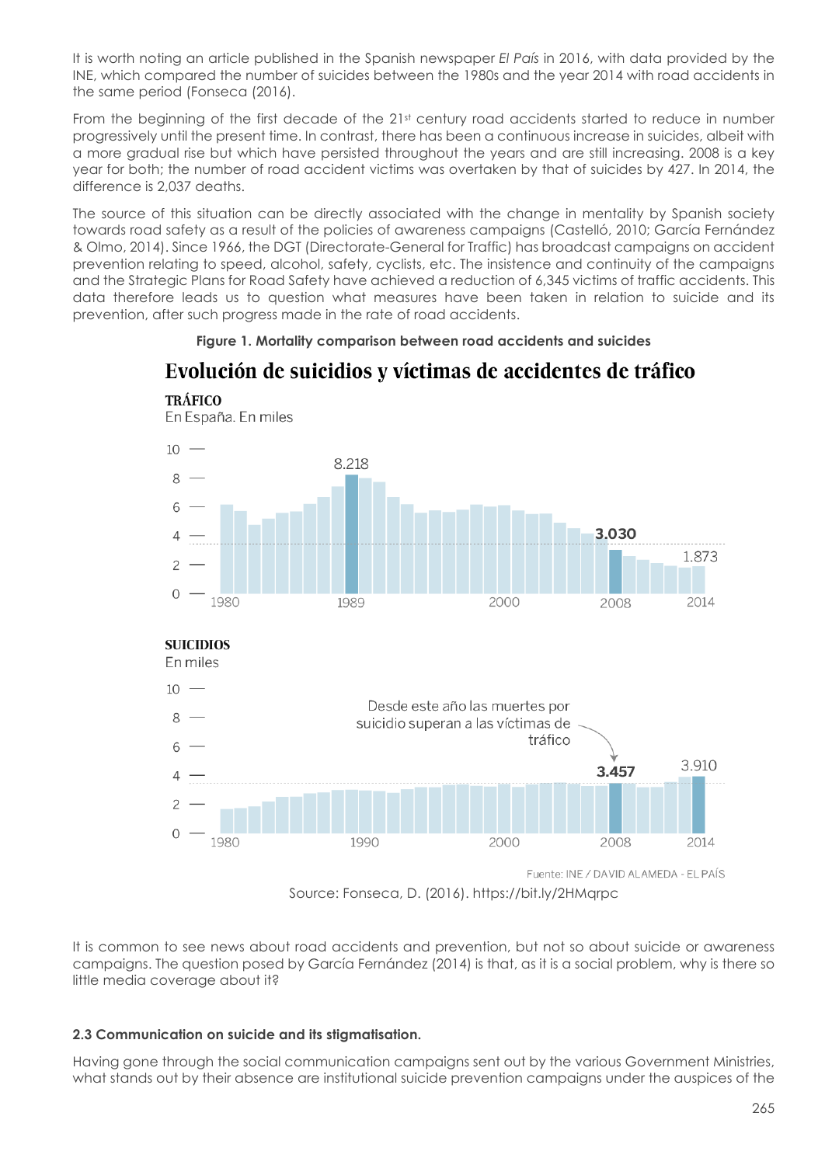It is worth noting an article published in the Spanish newspaper *El País* in 2016, with data provided by the INE, which compared the number of suicides between the 1980s and the year 2014 with road accidents in the same period (Fonseca (2016).

From the beginning of the first decade of the 21<sup>st</sup> century road accidents started to reduce in number progressively until the present time. In contrast, there has been a continuous increase in suicides, albeit with a more gradual rise but which have persisted throughout the years and are still increasing. 2008 is a key year for both; the number of road accident victims was overtaken by that of suicides by 427. In 2014, the difference is 2,037 deaths.

The source of this situation can be directly associated with the change in mentality by Spanish society towards road safety as a result of the policies of awareness campaigns (Castelló, 2010; García Fernández & Olmo, 2014). Since 1966, the DGT (Directorate-General for Traffic) has broadcast campaigns on accident prevention relating to speed, alcohol, safety, cyclists, etc. The insistence and continuity of the campaigns and the Strategic Plans for Road Safety have achieved a reduction of 6,345 victims of traffic accidents. This data therefore leads us to question what measures have been taken in relation to suicide and its prevention, after such progress made in the rate of road accidents.

#### **Figure 1. Mortality comparison between road accidents and suicides**

# Evolución de suicidios y víctimas de accidentes de tráfico



Source: Fonseca, D. (2016). https://bit.ly/2HMqrpc

It is common to see news about road accidents and prevention, but not so about suicide or awareness campaigns. The question posed by García Fernández (2014) is that, as it is a social problem, why is there so little media coverage about it?

#### **2.3 Communication on suicide and its stigmatisation.**

Having gone through the social communication campaigns sent out by the various Government Ministries, what stands out by their absence are institutional suicide prevention campaigns under the auspices of the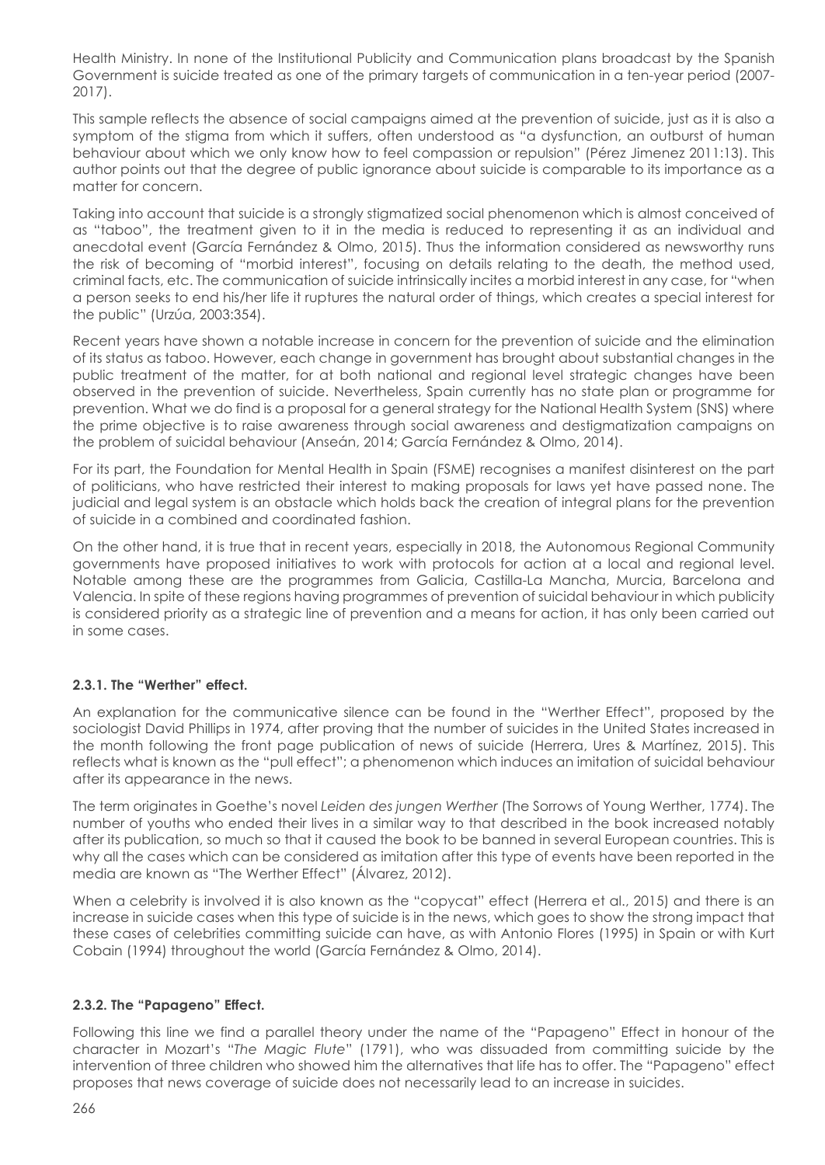Health Ministry. In none of the Institutional Publicity and Communication plans broadcast by the Spanish Government is suicide treated as one of the primary targets of communication in a ten-year period (2007- 2017).

This sample reflects the absence of social campaigns aimed at the prevention of suicide, just as it is also a symptom of the stigma from which it suffers, often understood as "a dysfunction, an outburst of human behaviour about which we only know how to feel compassion or repulsion" (Pérez Jimenez 2011:13). This author points out that the degree of public ignorance about suicide is comparable to its importance as a matter for concern.

Taking into account that suicide is a strongly stigmatized social phenomenon which is almost conceived of as "taboo", the treatment given to it in the media is reduced to representing it as an individual and anecdotal event (García Fernández & Olmo, 2015). Thus the information considered as newsworthy runs the risk of becoming of "morbid interest", focusing on details relating to the death, the method used, criminal facts, etc. The communication of suicide intrinsically incites a morbid interest in any case, for "when a person seeks to end his/her life it ruptures the natural order of things, which creates a special interest for the public" (Urzúa, 2003:354).

Recent years have shown a notable increase in concern for the prevention of suicide and the elimination of its status as taboo. However, each change in government has brought about substantial changes in the public treatment of the matter, for at both national and regional level strategic changes have been observed in the prevention of suicide. Nevertheless, Spain currently has no state plan or programme for prevention. What we do find is a proposal for a general strategy for the National Health System (SNS) where the prime objective is to raise awareness through social awareness and destigmatization campaigns on the problem of suicidal behaviour (Anseán, 2014; García Fernández & Olmo, 2014).

For its part, the Foundation for Mental Health in Spain (FSME) recognises a manifest disinterest on the part of politicians, who have restricted their interest to making proposals for laws yet have passed none. The judicial and legal system is an obstacle which holds back the creation of integral plans for the prevention of suicide in a combined and coordinated fashion.

On the other hand, it is true that in recent years, especially in 2018, the Autonomous Regional Community governments have proposed initiatives to work with protocols for action at a local and regional level. Notable among these are the programmes from Galicia, Castilla-La Mancha, Murcia, Barcelona and Valencia. In spite of these regions having programmes of prevention of suicidal behaviour in which publicity is considered priority as a strategic line of prevention and a means for action, it has only been carried out in some cases.

# **2.3.1. The "Werther" effect.**

An explanation for the communicative silence can be found in the "Werther Effect", proposed by the sociologist David Phillips in 1974, after proving that the number of suicides in the United States increased in the month following the front page publication of news of suicide (Herrera, Ures & Martínez, 2015). This reflects what is known as the "pull effect"; a phenomenon which induces an imitation of suicidal behaviour after its appearance in the news.

The term originates in Goethe's novel *Leiden des jungen Werther* (The Sorrows of Young Werther, 1774). The number of youths who ended their lives in a similar way to that described in the book increased notably after its publication, so much so that it caused the book to be banned in several European countries. This is why all the cases which can be considered as imitation after this type of events have been reported in the media are known as "The Werther Effect" (Álvarez, 2012).

When a celebrity is involved it is also known as the "copycat" effect (Herrera et al., 2015) and there is an increase in suicide cases when this type of suicide is in the news, which goes to show the strong impact that these cases of celebrities committing suicide can have, as with Antonio Flores (1995) in Spain or with Kurt Cobain (1994) throughout the world (García Fernández & Olmo, 2014).

# **2.3.2. The "Papageno" Effect.**

Following this line we find a parallel theory under the name of the "Papageno" Effect in honour of the character in Mozart's "*The Magic Flute*" (1791), who was dissuaded from committing suicide by the intervention of three children who showed him the alternatives that life has to offer. The "Papageno" effect proposes that news coverage of suicide does not necessarily lead to an increase in suicides.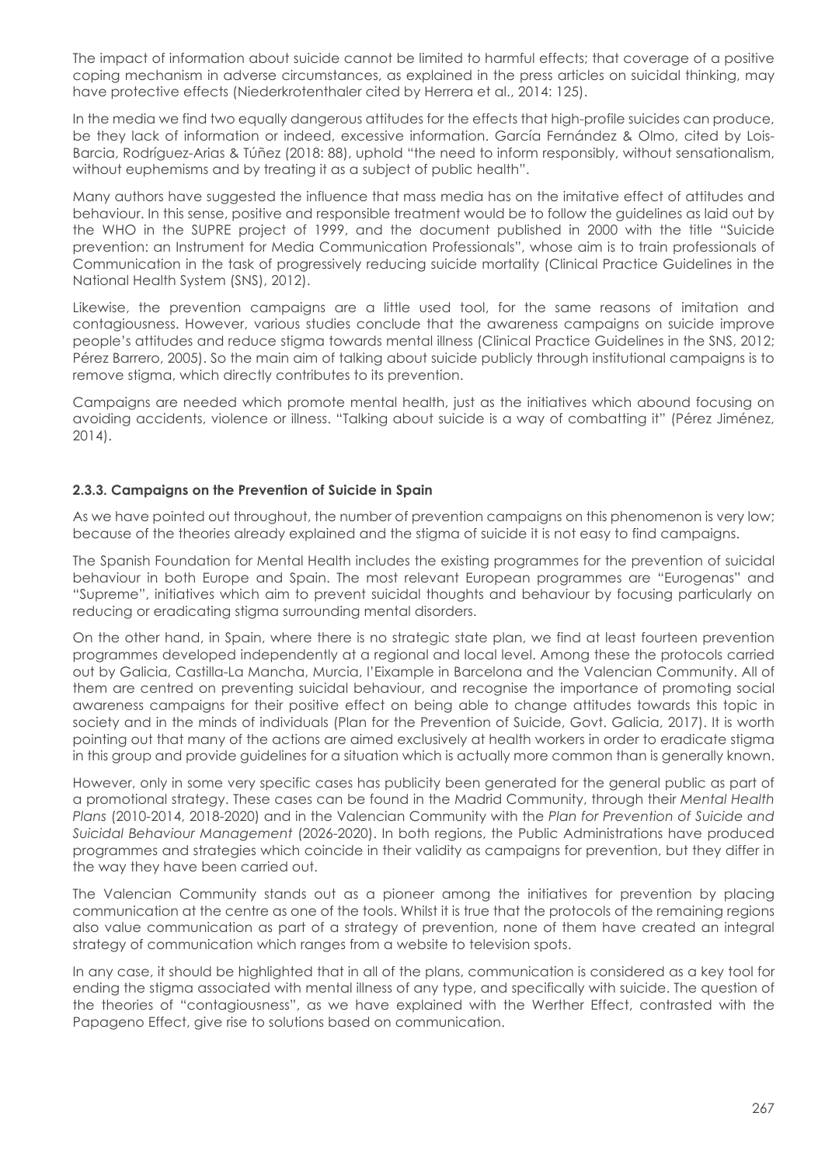The impact of information about suicide cannot be limited to harmful effects; that coverage of a positive coping mechanism in adverse circumstances, as explained in the press articles on suicidal thinking, may have protective effects (Niederkrotenthaler cited by Herrera et al., 2014: 125).

In the media we find two equally dangerous attitudes for the effects that high-profile suicides can produce, be they lack of information or indeed, excessive information. García Fernández & Olmo, cited by Lois-Barcia, Rodríguez-Arias & Túñez (2018: 88), uphold "the need to inform responsibly, without sensationalism, without euphemisms and by treating it as a subject of public health".

Many authors have suggested the influence that mass media has on the imitative effect of attitudes and behaviour. In this sense, positive and responsible treatment would be to follow the guidelines as laid out by the WHO in the SUPRE project of 1999, and the document published in 2000 with the title "Suicide prevention: an Instrument for Media Communication Professionals", whose aim is to train professionals of Communication in the task of progressively reducing suicide mortality (Clinical Practice Guidelines in the National Health System (SNS), 2012).

Likewise, the prevention campaigns are a little used tool, for the same reasons of imitation and contagiousness. However, various studies conclude that the awareness campaigns on suicide improve people's attitudes and reduce stigma towards mental illness (Clinical Practice Guidelines in the SNS, 2012; Pérez Barrero, 2005). So the main aim of talking about suicide publicly through institutional campaigns is to remove stigma, which directly contributes to its prevention.

Campaigns are needed which promote mental health, just as the initiatives which abound focusing on avoiding accidents, violence or illness. "Talking about suicide is a way of combatting it" (Pérez Jiménez, 2014).

# **2.3.3. Campaigns on the Prevention of Suicide in Spain**

As we have pointed out throughout, the number of prevention campaigns on this phenomenon is very low; because of the theories already explained and the stigma of suicide it is not easy to find campaigns.

The Spanish Foundation for Mental Health includes the existing programmes for the prevention of suicidal behaviour in both Europe and Spain. The most relevant European programmes are "Eurogenas" and "Supreme", initiatives which aim to prevent suicidal thoughts and behaviour by focusing particularly on reducing or eradicating stigma surrounding mental disorders.

On the other hand, in Spain, where there is no strategic state plan, we find at least fourteen prevention programmes developed independently at a regional and local level. Among these the protocols carried out by Galicia, Castilla-La Mancha, Murcia, l'Eixample in Barcelona and the Valencian Community. All of them are centred on preventing suicidal behaviour, and recognise the importance of promoting social awareness campaigns for their positive effect on being able to change attitudes towards this topic in society and in the minds of individuals (Plan for the Prevention of Suicide, Govt. Galicia, 2017). It is worth pointing out that many of the actions are aimed exclusively at health workers in order to eradicate stigma in this group and provide guidelines for a situation which is actually more common than is generally known.

However, only in some very specific cases has publicity been generated for the general public as part of a promotional strategy. These cases can be found in the Madrid Community, through their *Mental Health Plans* (2010-2014, 2018-2020) and in the Valencian Community with the *Plan for Prevention of Suicide and Suicidal Behaviour Management* (2026-2020). In both regions, the Public Administrations have produced programmes and strategies which coincide in their validity as campaigns for prevention, but they differ in the way they have been carried out.

The Valencian Community stands out as a pioneer among the initiatives for prevention by placing communication at the centre as one of the tools. Whilst it is true that the protocols of the remaining regions also value communication as part of a strategy of prevention, none of them have created an integral strategy of communication which ranges from a website to television spots.

In any case, it should be highlighted that in all of the plans, communication is considered as a key tool for ending the stigma associated with mental illness of any type, and specifically with suicide. The question of the theories of "contagiousness", as we have explained with the Werther Effect, contrasted with the Papageno Effect, give rise to solutions based on communication.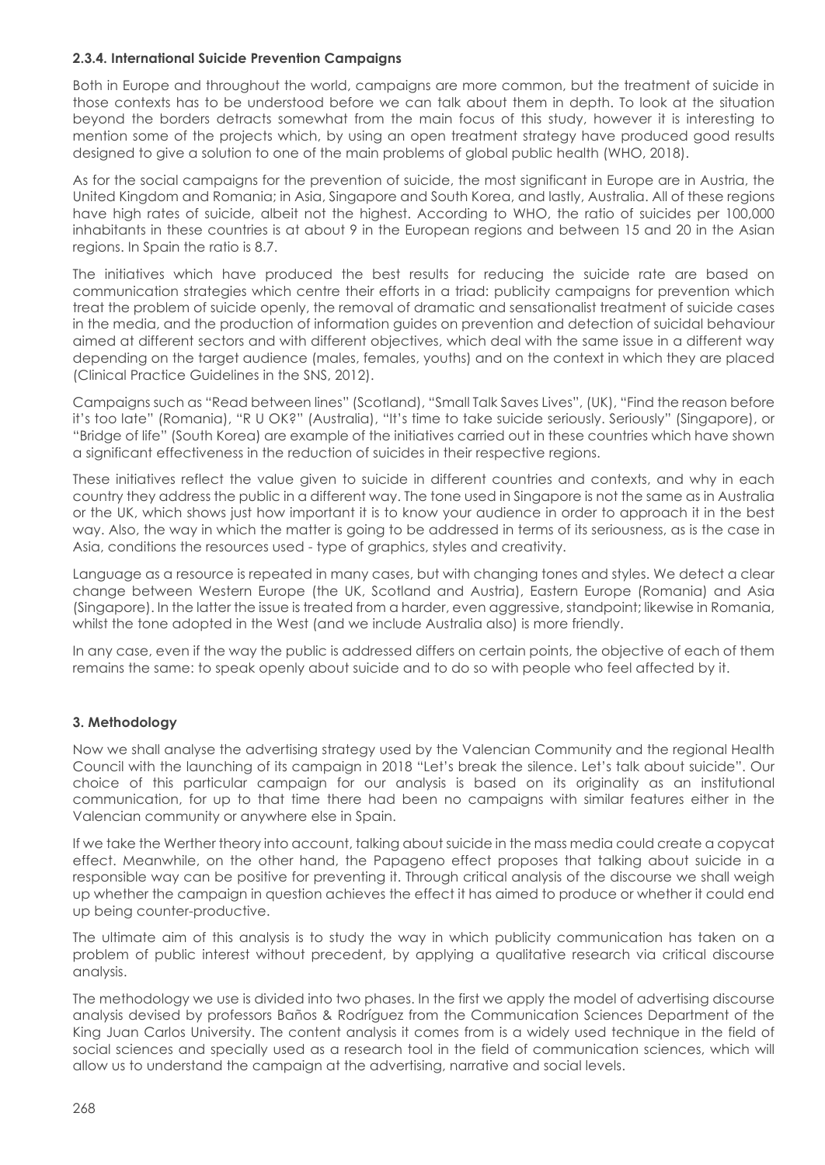# **2.3.4. International Suicide Prevention Campaigns**

Both in Europe and throughout the world, campaigns are more common, but the treatment of suicide in those contexts has to be understood before we can talk about them in depth. To look at the situation beyond the borders detracts somewhat from the main focus of this study, however it is interesting to mention some of the projects which, by using an open treatment strategy have produced good results designed to give a solution to one of the main problems of global public health (WHO, 2018).

As for the social campaigns for the prevention of suicide, the most significant in Europe are in Austria, the United Kingdom and Romania; in Asia, Singapore and South Korea, and lastly, Australia. All of these regions have high rates of suicide, albeit not the highest. According to WHO, the ratio of suicides per 100,000 inhabitants in these countries is at about 9 in the European regions and between 15 and 20 in the Asian regions. In Spain the ratio is 8.7.

The initiatives which have produced the best results for reducing the suicide rate are based on communication strategies which centre their efforts in a triad: publicity campaigns for prevention which treat the problem of suicide openly, the removal of dramatic and sensationalist treatment of suicide cases in the media, and the production of information guides on prevention and detection of suicidal behaviour aimed at different sectors and with different objectives, which deal with the same issue in a different way depending on the target audience (males, females, youths) and on the context in which they are placed (Clinical Practice Guidelines in the SNS, 2012).

Campaigns such as "Read between lines" (Scotland), "Small Talk Saves Lives", (UK), "Find the reason before it's too late" (Romania), "R U OK?" (Australia), "It's time to take suicide seriously. Seriously" (Singapore), or "Bridge of life" (South Korea) are example of the initiatives carried out in these countries which have shown a significant effectiveness in the reduction of suicides in their respective regions.

These initiatives reflect the value given to suicide in different countries and contexts, and why in each country they address the public in a different way. The tone used in Singapore is not the same as in Australia or the UK, which shows just how important it is to know your audience in order to approach it in the best way. Also, the way in which the matter is going to be addressed in terms of its seriousness, as is the case in Asia, conditions the resources used - type of graphics, styles and creativity.

Language as a resource is repeated in many cases, but with changing tones and styles. We detect a clear change between Western Europe (the UK, Scotland and Austria), Eastern Europe (Romania) and Asia (Singapore). In the latter the issue is treated from a harder, even aggressive, standpoint; likewise in Romania, whilst the tone adopted in the West (and we include Australia also) is more friendly.

In any case, even if the way the public is addressed differs on certain points, the objective of each of them remains the same: to speak openly about suicide and to do so with people who feel affected by it.

#### **3. Methodology**

Now we shall analyse the advertising strategy used by the Valencian Community and the regional Health Council with the launching of its campaign in 2018 "Let's break the silence. Let's talk about suicide". Our choice of this particular campaign for our analysis is based on its originality as an institutional communication, for up to that time there had been no campaigns with similar features either in the Valencian community or anywhere else in Spain.

If we take the Werther theory into account, talking about suicide in the mass media could create a copycat effect. Meanwhile, on the other hand, the Papageno effect proposes that talking about suicide in a responsible way can be positive for preventing it. Through critical analysis of the discourse we shall weigh up whether the campaign in question achieves the effect it has aimed to produce or whether it could end up being counter-productive.

The ultimate aim of this analysis is to study the way in which publicity communication has taken on a problem of public interest without precedent, by applying a qualitative research via critical discourse analysis.

The methodology we use is divided into two phases. In the first we apply the model of advertising discourse analysis devised by professors Baños & Rodríguez from the Communication Sciences Department of the King Juan Carlos University. The content analysis it comes from is a widely used technique in the field of social sciences and specially used as a research tool in the field of communication sciences, which will allow us to understand the campaign at the advertising, narrative and social levels.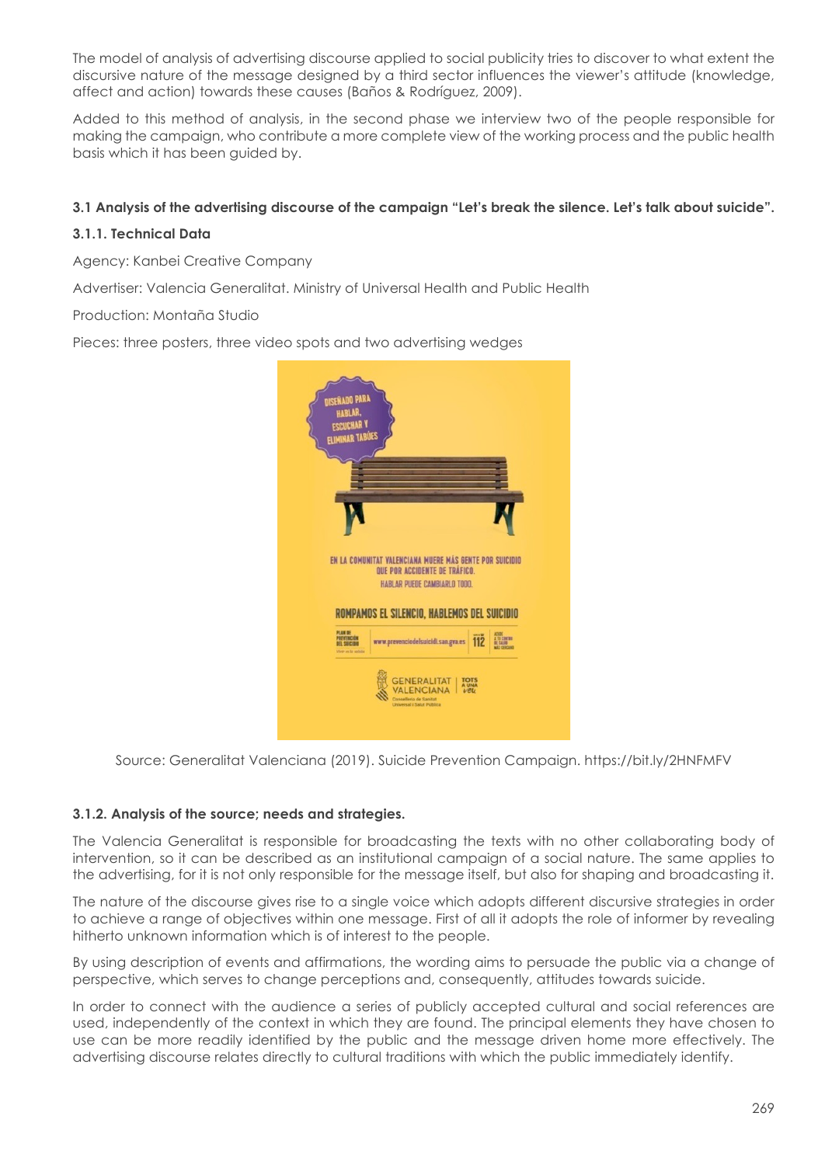The model of analysis of advertising discourse applied to social publicity tries to discover to what extent the discursive nature of the message designed by a third sector influences the viewer's attitude (knowledge, affect and action) towards these causes (Baños & Rodríguez, 2009).

Added to this method of analysis, in the second phase we interview two of the people responsible for making the campaign, who contribute a more complete view of the working process and the public health basis which it has been guided by.

# **3.1 Analysis of the advertising discourse of the campaign "Let's break the silence. Let's talk about suicide".**

# **3.1.1. Technical Data**

Agency: Kanbei Creative Company

Advertiser: Valencia Generalitat. Ministry of Universal Health and Public Health

Production: Montaña Studio

Pieces: three posters, three video spots and two advertising wedges



Source: Generalitat Valenciana (2019). Suicide Prevention Campaign. https://bit.ly/2HNFMFV

#### **3.1.2. Analysis of the source; needs and strategies.**

The Valencia Generalitat is responsible for broadcasting the texts with no other collaborating body of intervention, so it can be described as an institutional campaign of a social nature. The same applies to the advertising, for it is not only responsible for the message itself, but also for shaping and broadcasting it.

The nature of the discourse gives rise to a single voice which adopts different discursive strategies in order to achieve a range of objectives within one message. First of all it adopts the role of informer by revealing hitherto unknown information which is of interest to the people.

By using description of events and affirmations, the wording aims to persuade the public via a change of perspective, which serves to change perceptions and, consequently, attitudes towards suicide.

In order to connect with the audience a series of publicly accepted cultural and social references are used, independently of the context in which they are found. The principal elements they have chosen to use can be more readily identified by the public and the message driven home more effectively. The advertising discourse relates directly to cultural traditions with which the public immediately identify.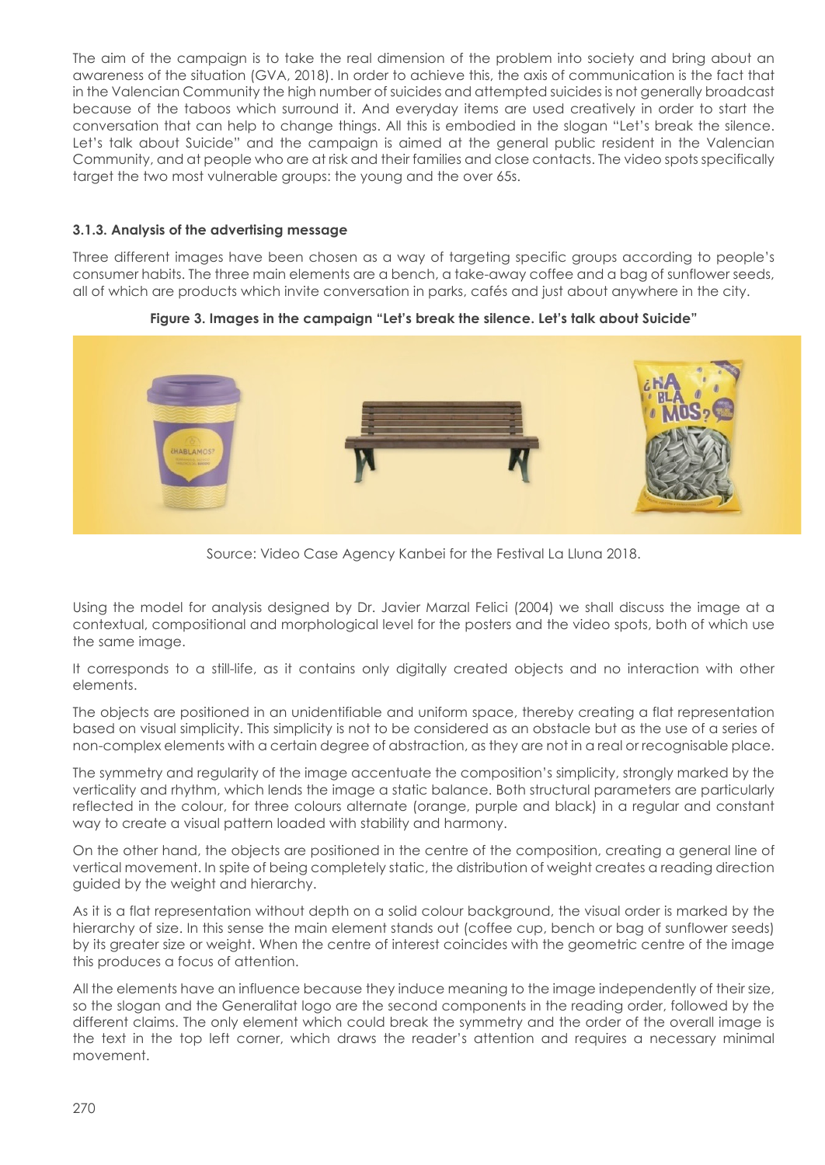The aim of the campaign is to take the real dimension of the problem into society and bring about an awareness of the situation (GVA, 2018). In order to achieve this, the axis of communication is the fact that in the Valencian Community the high number of suicides and attempted suicides is not generally broadcast because of the taboos which surround it. And everyday items are used creatively in order to start the conversation that can help to change things. All this is embodied in the slogan "Let's break the silence. Let's talk about Suicide" and the campaign is aimed at the general public resident in the Valencian Community, and at people who are at risk and their families and close contacts. The video spots specifically target the two most vulnerable groups: the young and the over 65s.

# **3.1.3. Analysis of the advertising message**

Three different images have been chosen as a way of targeting specific groups according to people's consumer habits. The three main elements are a bench, a take-away coffee and a bag of sunflower seeds, all of which are products which invite conversation in parks, cafés and just about anywhere in the city.



**Figure 3. Images in the campaign "Let's break the silence. Let's talk about Suicide"**

Source: Video Case Agency Kanbei for the Festival La Lluna 2018.

Using the model for analysis designed by Dr. Javier Marzal Felici (2004) we shall discuss the image at a contextual, compositional and morphological level for the posters and the video spots, both of which use the same image.

It corresponds to a still-life, as it contains only digitally created objects and no interaction with other elements.

The objects are positioned in an unidentifiable and uniform space, thereby creating a flat representation based on visual simplicity. This simplicity is not to be considered as an obstacle but as the use of a series of non-complex elements with a certain degree of abstraction, as they are not in a real or recognisable place.

The symmetry and regularity of the image accentuate the composition's simplicity, strongly marked by the verticality and rhythm, which lends the image a static balance. Both structural parameters are particularly reflected in the colour, for three colours alternate (orange, purple and black) in a regular and constant way to create a visual pattern loaded with stability and harmony.

On the other hand, the objects are positioned in the centre of the composition, creating a general line of vertical movement. In spite of being completely static, the distribution of weight creates a reading direction guided by the weight and hierarchy.

As it is a flat representation without depth on a solid colour background, the visual order is marked by the hierarchy of size. In this sense the main element stands out (coffee cup, bench or bag of sunflower seeds) by its greater size or weight. When the centre of interest coincides with the geometric centre of the image this produces a focus of attention.

All the elements have an influence because they induce meaning to the image independently of their size, so the slogan and the Generalitat logo are the second components in the reading order, followed by the different claims. The only element which could break the symmetry and the order of the overall image is the text in the top left corner, which draws the reader's attention and requires a necessary minimal movement.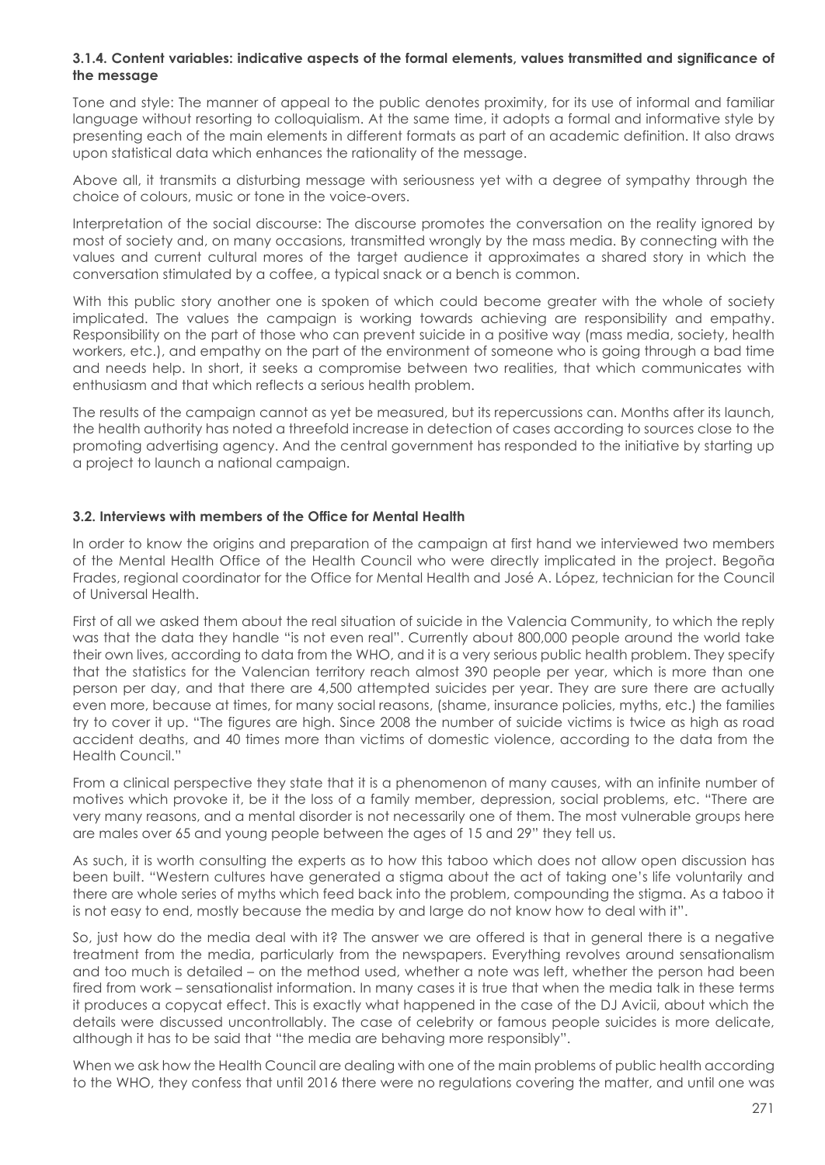### **3.1.4. Content variables: indicative aspects of the formal elements, values transmitted and significance of the message**

Tone and style: The manner of appeal to the public denotes proximity, for its use of informal and familiar language without resorting to colloquialism. At the same time, it adopts a formal and informative style by presenting each of the main elements in different formats as part of an academic definition. It also draws upon statistical data which enhances the rationality of the message.

Above all, it transmits a disturbing message with seriousness yet with a degree of sympathy through the choice of colours, music or tone in the voice-overs.

Interpretation of the social discourse: The discourse promotes the conversation on the reality ignored by most of society and, on many occasions, transmitted wrongly by the mass media. By connecting with the values and current cultural mores of the target audience it approximates a shared story in which the conversation stimulated by a coffee, a typical snack or a bench is common.

With this public story another one is spoken of which could become greater with the whole of society implicated. The values the campaign is working towards achieving are responsibility and empathy. Responsibility on the part of those who can prevent suicide in a positive way (mass media, society, health workers, etc.), and empathy on the part of the environment of someone who is going through a bad time and needs help. In short, it seeks a compromise between two realities, that which communicates with enthusiasm and that which reflects a serious health problem.

The results of the campaign cannot as yet be measured, but its repercussions can. Months after its launch, the health authority has noted a threefold increase in detection of cases according to sources close to the promoting advertising agency. And the central government has responded to the initiative by starting up a project to launch a national campaign.

#### **3.2. Interviews with members of the Office for Mental Health**

In order to know the origins and preparation of the campaign at first hand we interviewed two members of the Mental Health Office of the Health Council who were directly implicated in the project. Begoña Frades, regional coordinator for the Office for Mental Health and José A. López, technician for the Council of Universal Health.

First of all we asked them about the real situation of suicide in the Valencia Community, to which the reply was that the data they handle "is not even real". Currently about 800,000 people around the world take their own lives, according to data from the WHO, and it is a very serious public health problem. They specify that the statistics for the Valencian territory reach almost 390 people per year, which is more than one person per day, and that there are 4,500 attempted suicides per year. They are sure there are actually even more, because at times, for many social reasons, (shame, insurance policies, myths, etc.) the families try to cover it up. "The figures are high. Since 2008 the number of suicide victims is twice as high as road accident deaths, and 40 times more than victims of domestic violence, according to the data from the Health Council."

From a clinical perspective they state that it is a phenomenon of many causes, with an infinite number of motives which provoke it, be it the loss of a family member, depression, social problems, etc. "There are very many reasons, and a mental disorder is not necessarily one of them. The most vulnerable groups here are males over 65 and young people between the ages of 15 and 29" they tell us.

As such, it is worth consulting the experts as to how this taboo which does not allow open discussion has been built. "Western cultures have generated a stigma about the act of taking one's life voluntarily and there are whole series of myths which feed back into the problem, compounding the stigma. As a taboo it is not easy to end, mostly because the media by and large do not know how to deal with it".

So, just how do the media deal with it? The answer we are offered is that in general there is a negative treatment from the media, particularly from the newspapers. Everything revolves around sensationalism and too much is detailed – on the method used, whether a note was left, whether the person had been fired from work – sensationalist information. In many cases it is true that when the media talk in these terms it produces a copycat effect. This is exactly what happened in the case of the DJ Avicii, about which the details were discussed uncontrollably. The case of celebrity or famous people suicides is more delicate, although it has to be said that "the media are behaving more responsibly".

When we ask how the Health Council are dealing with one of the main problems of public health according to the WHO, they confess that until 2016 there were no regulations covering the matter, and until one was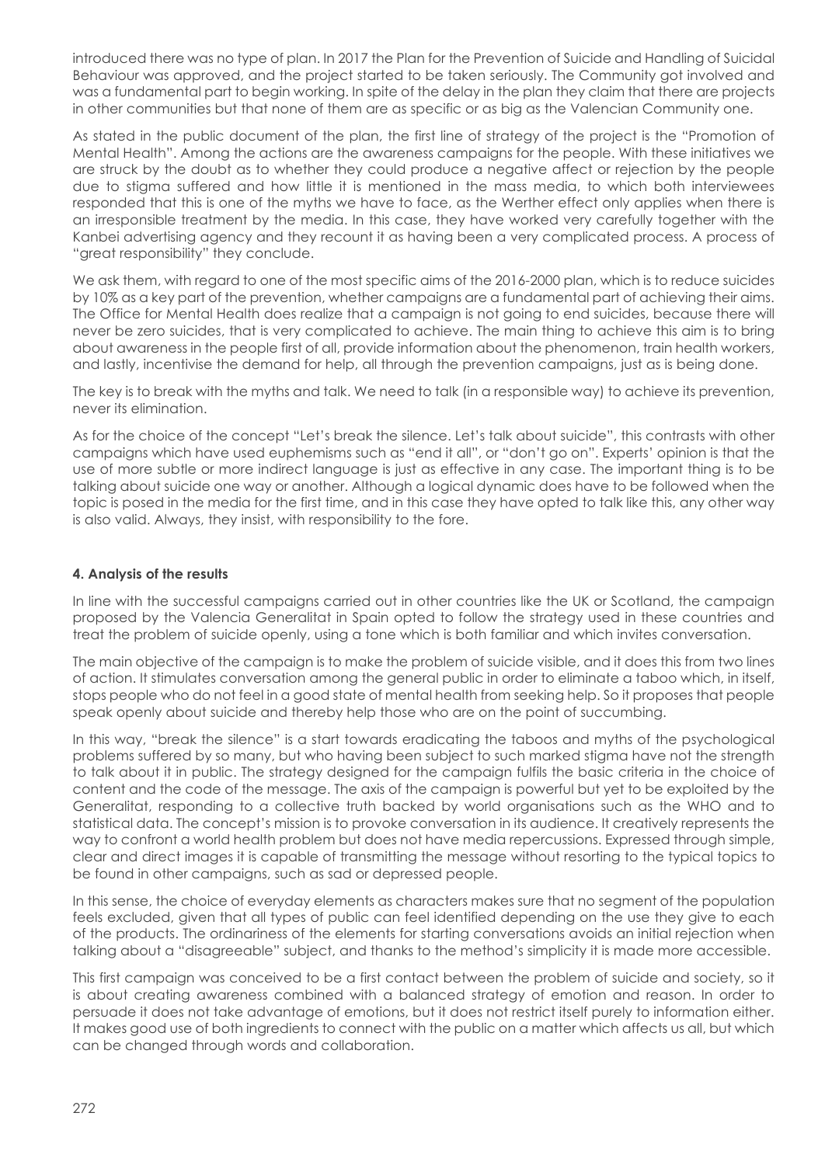introduced there was no type of plan. In 2017 the Plan for the Prevention of Suicide and Handling of Suicidal Behaviour was approved, and the project started to be taken seriously. The Community got involved and was a fundamental part to begin working. In spite of the delay in the plan they claim that there are projects in other communities but that none of them are as specific or as big as the Valencian Community one.

As stated in the public document of the plan, the first line of strategy of the project is the "Promotion of Mental Health". Among the actions are the awareness campaigns for the people. With these initiatives we are struck by the doubt as to whether they could produce a negative affect or rejection by the people due to stigma suffered and how little it is mentioned in the mass media, to which both interviewees responded that this is one of the myths we have to face, as the Werther effect only applies when there is an irresponsible treatment by the media. In this case, they have worked very carefully together with the Kanbei advertising agency and they recount it as having been a very complicated process. A process of "great responsibility" they conclude.

We ask them, with regard to one of the most specific aims of the 2016-2000 plan, which is to reduce suicides by 10% as a key part of the prevention, whether campaigns are a fundamental part of achieving their aims. The Office for Mental Health does realize that a campaign is not going to end suicides, because there will never be zero suicides, that is very complicated to achieve. The main thing to achieve this aim is to bring about awareness in the people first of all, provide information about the phenomenon, train health workers, and lastly, incentivise the demand for help, all through the prevention campaigns, just as is being done.

The key is to break with the myths and talk. We need to talk (in a responsible way) to achieve its prevention, never its elimination.

As for the choice of the concept "Let's break the silence. Let's talk about suicide", this contrasts with other campaigns which have used euphemisms such as "end it all", or "don't go on". Experts' opinion is that the use of more subtle or more indirect language is just as effective in any case. The important thing is to be talking about suicide one way or another. Although a logical dynamic does have to be followed when the topic is posed in the media for the first time, and in this case they have opted to talk like this, any other way is also valid. Always, they insist, with responsibility to the fore.

# **4. Analysis of the results**

In line with the successful campaigns carried out in other countries like the UK or Scotland, the campaign proposed by the Valencia Generalitat in Spain opted to follow the strategy used in these countries and treat the problem of suicide openly, using a tone which is both familiar and which invites conversation.

The main objective of the campaign is to make the problem of suicide visible, and it does this from two lines of action. It stimulates conversation among the general public in order to eliminate a taboo which, in itself, stops people who do not feel in a good state of mental health from seeking help. So it proposes that people speak openly about suicide and thereby help those who are on the point of succumbing.

In this way, "break the silence" is a start towards eradicating the taboos and myths of the psychological problems suffered by so many, but who having been subject to such marked stigma have not the strength to talk about it in public. The strategy designed for the campaign fulfils the basic criteria in the choice of content and the code of the message. The axis of the campaign is powerful but yet to be exploited by the Generalitat, responding to a collective truth backed by world organisations such as the WHO and to statistical data. The concept's mission is to provoke conversation in its audience. It creatively represents the way to confront a world health problem but does not have media repercussions. Expressed through simple, clear and direct images it is capable of transmitting the message without resorting to the typical topics to be found in other campaigns, such as sad or depressed people.

In this sense, the choice of everyday elements as characters makes sure that no segment of the population feels excluded, given that all types of public can feel identified depending on the use they give to each of the products. The ordinariness of the elements for starting conversations avoids an initial rejection when talking about a "disagreeable" subject, and thanks to the method's simplicity it is made more accessible.

This first campaign was conceived to be a first contact between the problem of suicide and society, so it is about creating awareness combined with a balanced strategy of emotion and reason. In order to persuade it does not take advantage of emotions, but it does not restrict itself purely to information either. It makes good use of both ingredients to connect with the public on a matter which affects us all, but which can be changed through words and collaboration.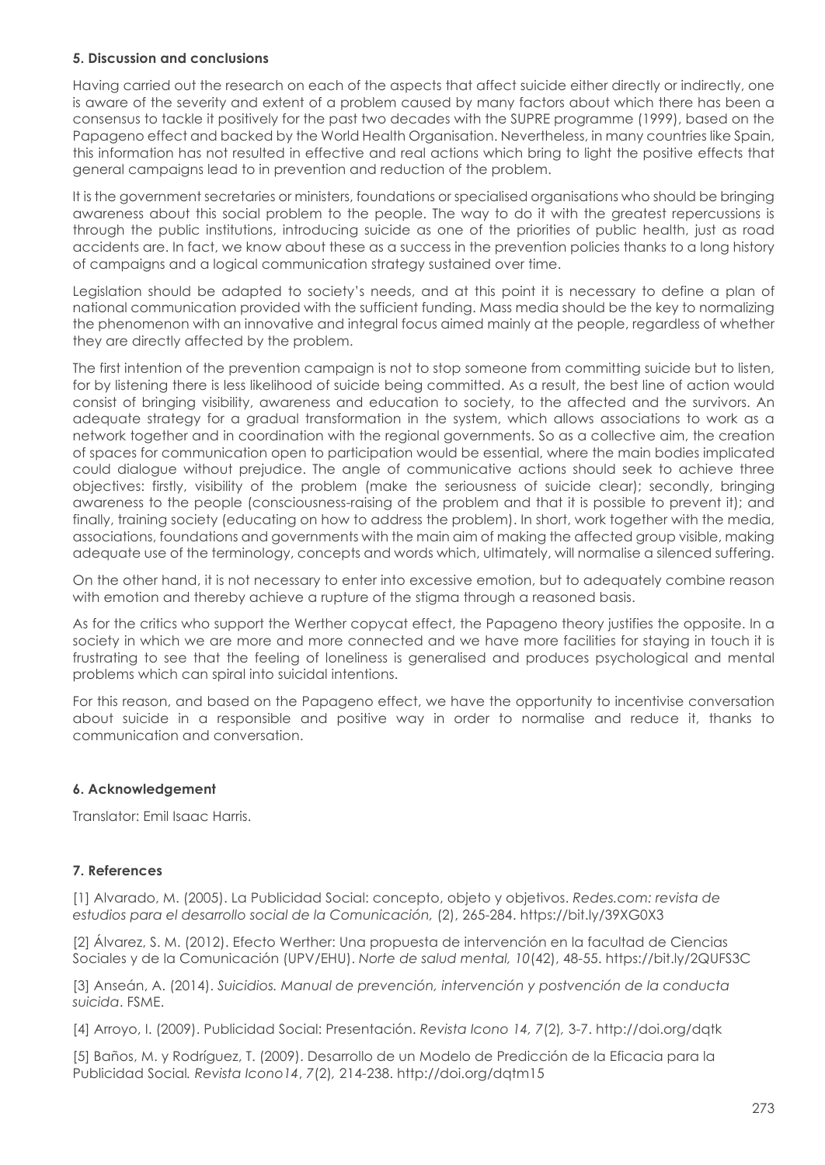# **5. Discussion and conclusions**

Having carried out the research on each of the aspects that affect suicide either directly or indirectly, one is aware of the severity and extent of a problem caused by many factors about which there has been a consensus to tackle it positively for the past two decades with the SUPRE programme (1999), based on the Papageno effect and backed by the World Health Organisation. Nevertheless, in many countries like Spain, this information has not resulted in effective and real actions which bring to light the positive effects that general campaigns lead to in prevention and reduction of the problem.

It is the government secretaries or ministers, foundations or specialised organisations who should be bringing awareness about this social problem to the people. The way to do it with the greatest repercussions is through the public institutions, introducing suicide as one of the priorities of public health, just as road accidents are. In fact, we know about these as a success in the prevention policies thanks to a long history of campaigns and a logical communication strategy sustained over time.

Legislation should be adapted to society's needs, and at this point it is necessary to define a plan of national communication provided with the sufficient funding. Mass media should be the key to normalizing the phenomenon with an innovative and integral focus aimed mainly at the people, regardless of whether they are directly affected by the problem.

The first intention of the prevention campaign is not to stop someone from committing suicide but to listen, for by listening there is less likelihood of suicide being committed. As a result, the best line of action would consist of bringing visibility, awareness and education to society, to the affected and the survivors. An adequate strategy for a gradual transformation in the system, which allows associations to work as a network together and in coordination with the regional governments. So as a collective aim, the creation of spaces for communication open to participation would be essential, where the main bodies implicated could dialogue without prejudice. The angle of communicative actions should seek to achieve three objectives: firstly, visibility of the problem (make the seriousness of suicide clear); secondly, bringing awareness to the people (consciousness-raising of the problem and that it is possible to prevent it); and finally, training society (educating on how to address the problem). In short, work together with the media, associations, foundations and governments with the main aim of making the affected group visible, making adequate use of the terminology, concepts and words which, ultimately, will normalise a silenced suffering.

On the other hand, it is not necessary to enter into excessive emotion, but to adequately combine reason with emotion and thereby achieve a rupture of the stigma through a reasoned basis.

As for the critics who support the Werther copycat effect, the Papageno theory justifies the opposite. In a society in which we are more and more connected and we have more facilities for staying in touch it is frustrating to see that the feeling of loneliness is generalised and produces psychological and mental problems which can spiral into suicidal intentions.

For this reason, and based on the Papageno effect, we have the opportunity to incentivise conversation about suicide in a responsible and positive way in order to normalise and reduce it, thanks to communication and conversation.

# **6. Acknowledgement**

Translator: Emil Isaac Harris.

# **7. References**

[1] Alvarado, M. (2005). La Publicidad Social: concepto, objeto y objetivos. *Redes.com: revista de estudios para el desarrollo social de la Comunicación,* (2), 265-284. https://bit.ly/39XG0X3

[2] Álvarez, S. M. (2012). Efecto Werther: Una propuesta de intervención en la facultad de Ciencias Sociales y de la Comunicación (UPV/EHU). *Norte de salud mental, 10*(42), 48-55. https://bit.ly/2QUFS3C

[3] Anseán, A. (2014). *Suicidios. Manual de prevención, intervención y postvención de la conducta suicida*. FSME.

[4] Arroyo, I. (2009). Publicidad Social: Presentación. *Revista Icono 14, 7*(2)*,* 3-7. http://doi.org/dqtk

[5] Baños, M. y Rodríguez, T. (2009). Desarrollo de un Modelo de Predicción de la Eficacia para la Publicidad Social*. Revista Icono14*, *7*(2)*,* 214-238. http://doi.org/dqtm15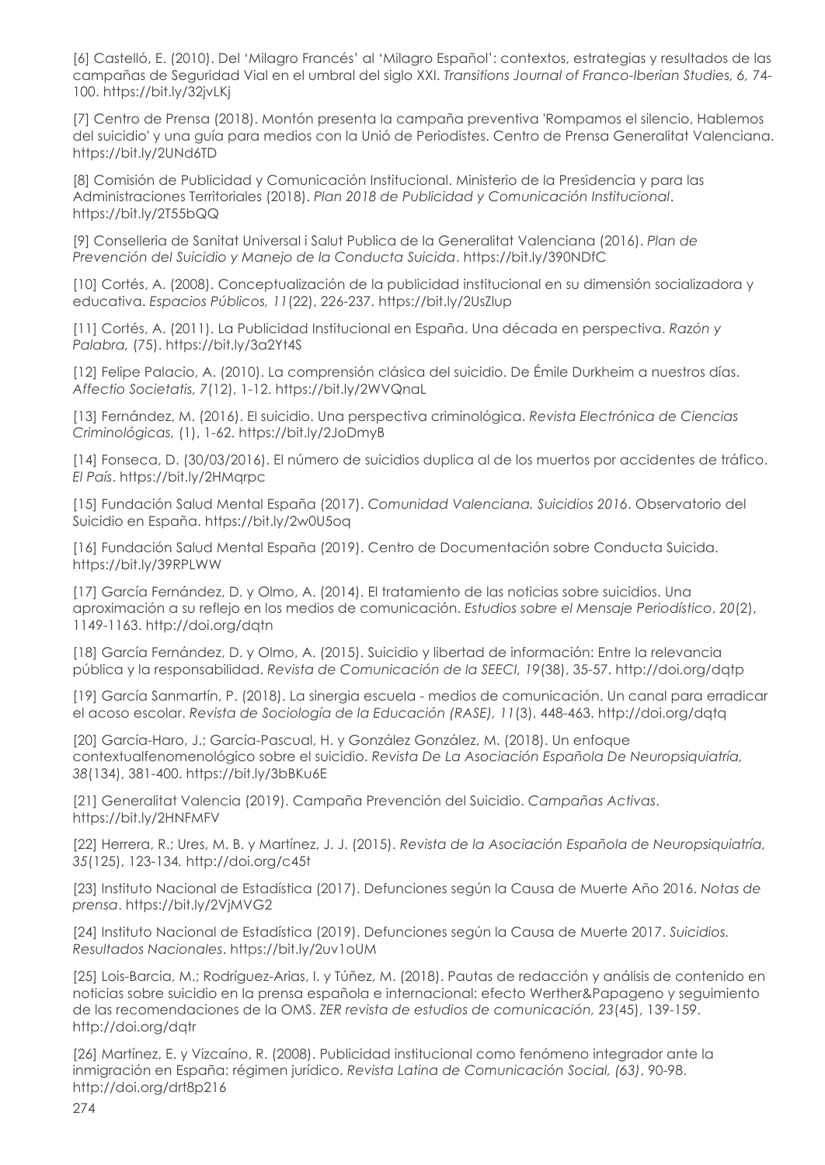[6] Castelló, E. (2010). Del 'Milagro Francés' al 'Milagro Español': contextos, estrategias y resultados de las campañas de Seguridad Vial en el umbral del siglo XXI. *Transitions Journal of Franco-Iberian Studies, 6,* 74- 100. https://bit.ly/32jvLKj

[7] Centro de Prensa (2018). Montón presenta la campaña preventiva 'Rompamos el silencio, Hablemos del suicidio' y una guía para medios con la Unió de Periodistes. Centro de Prensa Generalitat Valenciana. https://bit.ly/2UNd6TD

[8] Comisión de Publicidad y Comunicación Institucional. Ministerio de la Presidencia y para las Administraciones Territoriales (2018). *Plan 2018 de Publicidad y Comunicación Institucional*. https://bit.ly/2T55bQQ

[9] Conselleria de Sanitat Universal i Salut Publica de la Generalitat Valenciana (2016). *Plan de Prevención del Suicidio y Manejo de la Conducta Suicida*. https://bit.ly/390NDfC

[10] Cortés, A. (2008). Conceptualización de la publicidad institucional en su dimensión socializadora y educativa. *Espacios Públicos, 11*(22), 226-237. https://bit.ly/2UsZlup

[11] Cortés, A. (2011). La Publicidad Institucional en España. Una década en perspectiva. *Razón y Palabra,* (75). https://bit.ly/3a2Yt4S

[12] Felipe Palacio, A. (2010). La comprensión clásica del suicidio. De Émile Durkheim a nuestros días. *Affectio Societatis, 7*(12), 1-12. https://bit.ly/2WVQnaL

[13] Fernández, M. (2016). El suicidio. Una perspectiva criminológica. *Revista Electrónica de Ciencias Criminológicas,* (1), 1-62. https://bit.ly/2JoDmyB

[14] Fonseca, D. (30/03/2016). El número de suicidios duplica al de los muertos por accidentes de tráfico. *El País*. https://bit.ly/2HMqrpc

[15] Fundación Salud Mental España (2017). *Comunidad Valenciana. Suicidios 2016*. Observatorio del Suicidio en España. https://bit.ly/2w0U5oq

[16] Fundación Salud Mental España (2019). Centro de Documentación sobre Conducta Suicida. https://bit.ly/39RPLWW

[17] García Fernández, D. y Olmo, A. (2014). El tratamiento de las noticias sobre suicidios. Una aproximación a su reflejo en los medios de comunicación. *Estudios sobre el Mensaje Periodístico*, *20*(2), 1149-1163. http://doi.org/dqtn

[18] García Fernández, D. y Olmo, A. (2015). Suicidio y libertad de información: Entre la relevancia pública y la responsabilidad. *Revista de Comunicación de la SEECI, 19*(38), 35-57. http://doi.org/dqtp

[19] García Sanmartín, P. (2018). La sinergia escuela - medios de comunicación. Un canal para erradicar el acoso escolar. *Revista de Sociología de la Educación (RASE), 11*(3), 448-463. http://doi.org/dqtq

[20] García-Haro, J.; García-Pascual, H. y González González, M. (2018). Un enfoque contextualfenomenológico sobre el suicidio. *Revista De La Asociación Española De Neuropsiquiatría, 38*(134), 381-400. https://bit.ly/3bBKu6E

[21] Generalitat Valencia (2019). Campaña Prevención del Suicidio. *Campañas Activas*. https://bit.ly/2HNFMFV

[22] Herrera, R.; Ures, M. B. y Martínez, J. J. (2015). *Revista de la Asociación Española de Neuropsiquiatría, 35*(125), 123-134*.* http://doi.org/c45t

[23] Instituto Nacional de Estadística (2017). Defunciones según la Causa de Muerte Año 2016. *Notas de prensa*. https://bit.ly/2VjMVG2

[24] Instituto Nacional de Estadística (2019). Defunciones según la Causa de Muerte 2017. *Suicidios. Resultados Nacionales*. https://bit.ly/2uv1oUM

[25] Lois-Barcia, M.; Rodríguez-Arias, I. y Túñez, M. (2018). Pautas de redacción y análisis de contenido en noticias sobre suicidio en la prensa española e internacional: efecto Werther&Papageno y seguimiento de las recomendaciones de la OMS. *ZER revista de estudios de comunicación, 23*(45), 139-15*9*. http://doi.org/dqtr

[26] Martínez, E. y Vizcaíno, R. (2008). Publicidad institucional como fenómeno integrador ante la inmigración en España: régimen jurídico. *Revista Latina de Comunicación Social, (63)*, 90-98. http://doi.org/drt8p216